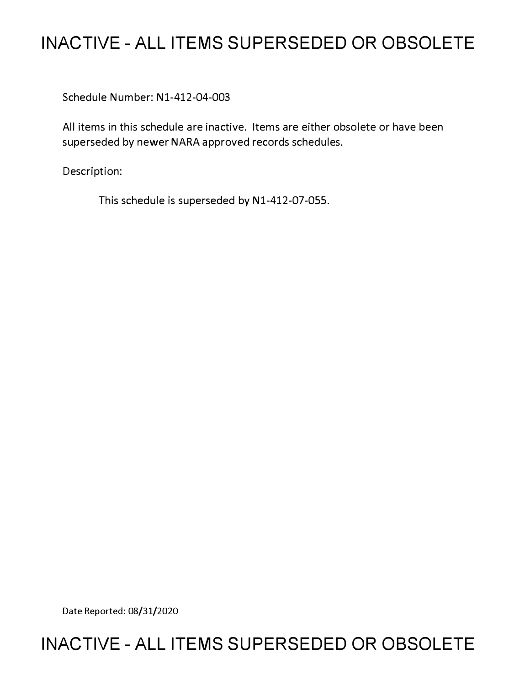## **INACTIVE - ALL ITEMS SUPERSEDED OR OBSOLETE**

Schedule Number: Nl-412-04-003

All items in this schedule are inactive. Items are either obsolete or have been superseded by newer NARA approved records schedules.

Description:

This schedule is superseded by N1-412-07-055.

Date Reported: 08/31/2020

### **INACTIVE - ALL ITEMS SUPERSEDED OR OBSOLETE**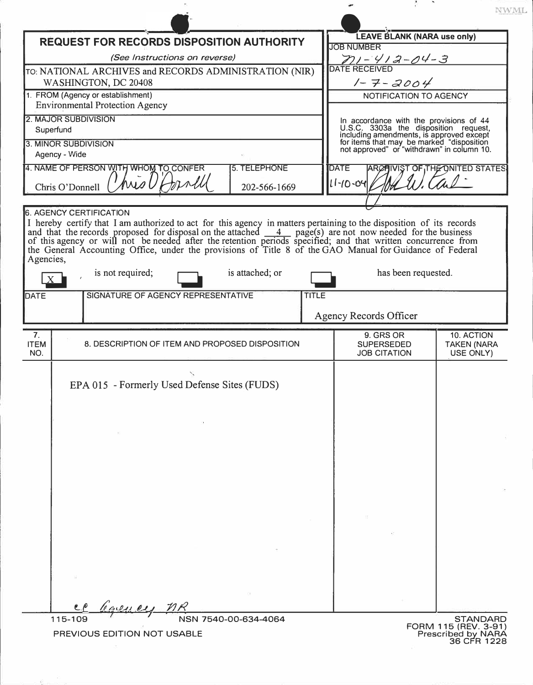| <b>REQUEST FOR RECORDS DISPOSITION AUTHORITY</b>                                                                                                                                                                          | <b>LEAVE BLANK (NARA use only)</b>                                                                                                                                                                                      |                                       |
|---------------------------------------------------------------------------------------------------------------------------------------------------------------------------------------------------------------------------|-------------------------------------------------------------------------------------------------------------------------------------------------------------------------------------------------------------------------|---------------------------------------|
| (See Instructions on reverse)                                                                                                                                                                                             | <b>JOB NUMBER</b><br>71-412-04-3                                                                                                                                                                                        |                                       |
| TO: NATIONAL ARCHIVES and RECORDS ADMINISTRATION (NIR)                                                                                                                                                                    | <b>DATE RECEIVED</b>                                                                                                                                                                                                    |                                       |
| WASHINGTON, DC 20408                                                                                                                                                                                                      | $1 - 7 - 2004$                                                                                                                                                                                                          |                                       |
| 1. FROM (Agency or establishment)                                                                                                                                                                                         | <b>NOTIFICATION TO AGENCY</b>                                                                                                                                                                                           |                                       |
| <b>Environmental Protection Agency</b>                                                                                                                                                                                    |                                                                                                                                                                                                                         |                                       |
| 2. MAJOR SUBDIVISION                                                                                                                                                                                                      |                                                                                                                                                                                                                         |                                       |
| Superfund<br>3. MINOR SUBDIVISION                                                                                                                                                                                         | In accordance with the provisions of 44<br>U.S.C. 3303a the disposition request,<br>including amendments, is approved except<br>for items that may be marked "disposition<br>not approved" or "withdrawn" in column 10. |                                       |
| Agency - Wide                                                                                                                                                                                                             |                                                                                                                                                                                                                         |                                       |
| 4. NAME OF PERSON WITH WHOM TO CONFER<br>5. TELEPHONE                                                                                                                                                                     | <b>DATE</b>                                                                                                                                                                                                             | <b>ARCHIVIST OF THE ONITED STATES</b> |
| $h \overline{h}$                                                                                                                                                                                                          | $11 - 10 - 04$                                                                                                                                                                                                          | the                                   |
| Chris O'Donnell<br>202-566-1669                                                                                                                                                                                           |                                                                                                                                                                                                                         |                                       |
| <b>6. AGENCY CERTIFICATION</b>                                                                                                                                                                                            |                                                                                                                                                                                                                         |                                       |
| I hereby certify that I am authorized to act for this agency in matters pertaining to the disposition of its records                                                                                                      |                                                                                                                                                                                                                         |                                       |
| and that the records proposed for disposal on the attached $\frac{4}{-4}$ page(s) are not now needed for the business                                                                                                     |                                                                                                                                                                                                                         |                                       |
| of this agency or will not be needed after the retention periods specified; and that written concurrence from<br>the General Accounting Office, under the provisions of Title 8 of the GAO Manual for Guidance of Federal |                                                                                                                                                                                                                         |                                       |
| Agencies,                                                                                                                                                                                                                 |                                                                                                                                                                                                                         |                                       |
| is not required;<br>is attached; or                                                                                                                                                                                       | has been requested.                                                                                                                                                                                                     |                                       |
| SIGNATURE OF AGENCY REPRESENTATIVE<br><b>DATE</b><br><b>TITLE</b>                                                                                                                                                         |                                                                                                                                                                                                                         |                                       |
|                                                                                                                                                                                                                           |                                                                                                                                                                                                                         |                                       |
|                                                                                                                                                                                                                           | <b>Agency Records Officer</b>                                                                                                                                                                                           |                                       |
|                                                                                                                                                                                                                           |                                                                                                                                                                                                                         |                                       |
| 7.                                                                                                                                                                                                                        |                                                                                                                                                                                                                         |                                       |
| <b>ITEM</b><br>8. DESCRIPTION OF ITEM AND PROPOSED DISPOSITION                                                                                                                                                            | 9. GRS OR<br><b>SUPERSEDED</b>                                                                                                                                                                                          | 10. ACTION<br><b>TAKEN (NARA</b>      |
| NO.                                                                                                                                                                                                                       | <b>JOB CITATION</b>                                                                                                                                                                                                     | USE ONLY)                             |
|                                                                                                                                                                                                                           |                                                                                                                                                                                                                         |                                       |
| EPA 015 - Formerly Used Defense Sites (FUDS)                                                                                                                                                                              |                                                                                                                                                                                                                         |                                       |
|                                                                                                                                                                                                                           |                                                                                                                                                                                                                         |                                       |
|                                                                                                                                                                                                                           |                                                                                                                                                                                                                         |                                       |
|                                                                                                                                                                                                                           |                                                                                                                                                                                                                         |                                       |
|                                                                                                                                                                                                                           |                                                                                                                                                                                                                         |                                       |
|                                                                                                                                                                                                                           |                                                                                                                                                                                                                         |                                       |
|                                                                                                                                                                                                                           |                                                                                                                                                                                                                         |                                       |
|                                                                                                                                                                                                                           |                                                                                                                                                                                                                         |                                       |
|                                                                                                                                                                                                                           |                                                                                                                                                                                                                         |                                       |
|                                                                                                                                                                                                                           |                                                                                                                                                                                                                         |                                       |
|                                                                                                                                                                                                                           |                                                                                                                                                                                                                         |                                       |
|                                                                                                                                                                                                                           |                                                                                                                                                                                                                         |                                       |
|                                                                                                                                                                                                                           |                                                                                                                                                                                                                         |                                       |
|                                                                                                                                                                                                                           |                                                                                                                                                                                                                         |                                       |
|                                                                                                                                                                                                                           |                                                                                                                                                                                                                         |                                       |
|                                                                                                                                                                                                                           |                                                                                                                                                                                                                         |                                       |

签一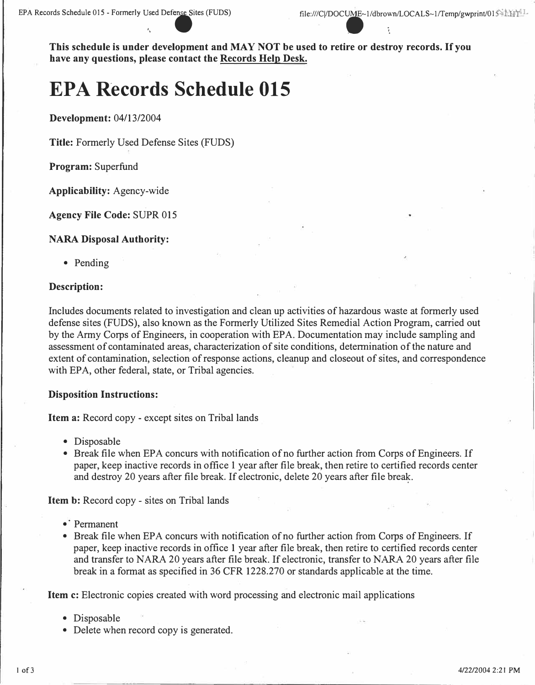**This schedule is under development and MAY NOT be used to retire or destroy records. If you have any questions, please contact the Records Help Desk.** 

# **EPA Records Schedule 015**

**Development:** 04/13/2004

**Title:** Formerly Used Defense Sites (FUDS)

**Program:** Superfund

**Applicability:** Agency-wide

**Agency File Code:** SUPR 015

#### **NARA Disposal Authority:**

• Pending

#### **Description:**

Includes documents related to investigation and clean up activities of hazardous waste at formerly used defense sites (FUDS), also known as the Formerly Utilized Sites Remedial Action Program, carried out by the Army Corps of Engineers, in cooperation with EPA. Documentation may include sampling and assessment of contaminated areas, characterization of site conditions, determination of the nature and extent of contamination, selection of response actions, cleanup and closeout of sites, and correspondence with EPA, other federal, state, or Tribal agencies.

#### **Disposition Instructions:**

**Item a:** Record copy - except sites on Tribal lands

- Disposable
- Break file when EPA concurs with notification of no further action from Corps of Engineers. If paper, keep inactive records in office 1 year after file break, then retire to certified records center and destroy 20 years after file break. If electronic, delete 20 years after file brea�.

**Item b:** Record copy - sites on Tribal lands

- $\bullet$ <sup>†</sup> Permanent
- Break file when EPA concurs with notification of no further action from Corps of Engineers. If paper, keep inactive records in office 1 year after file break, then retire to certified records center and transfer to NARA 20 years after file break. If electronic, transfer to NARA 20 years after file break in a format as specified in 36 CFR 1228.270 or standards applicable at the time.

**Item c:** Electronic copies created with word processing and electronic mail applications

- Disposable
- Delete when record copy is generated.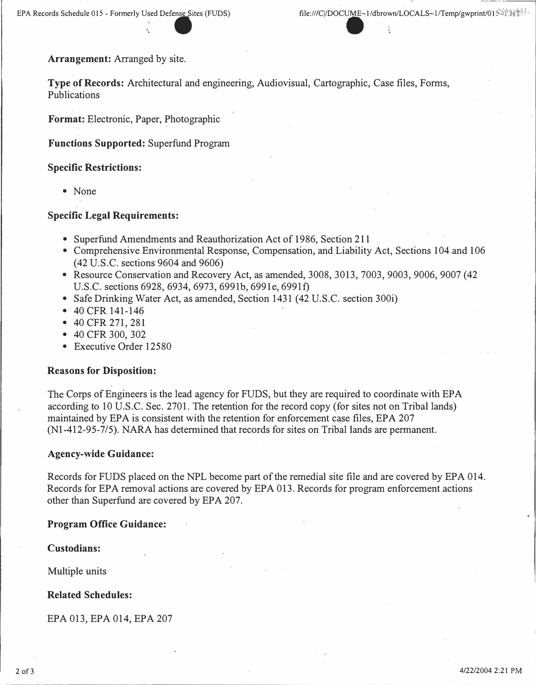**Arrangement: Arranged by site.** 

**Type of Records: Architectural and engineering, Audiovisual, Cartographic, Case files, Forms, Publications** 

.  $\bullet$  .  $\bullet$  .  $\bullet$  .

**Format: Electronic, Paper, Photographic** 

**Functions Supported: Superfund Program** 

#### **Specific Restrictions:**

**• None** 

#### **Specific Legal Requirements:**

- **Superfund Amendments and Reauthorization Act of 1986, Section 211**
- **Comprehensive Environmental Response, Compensation, and Liability Act, Sections 104 and 106 (42 U.S.C. sections 9604 and 9606)**
- **Resource Conservation and Recovery Act, as amended, 3008, 3013, 7003, 9003, 9006, 9007 (42 U.S.C. sections 6928, 6934, 6973, 6991b, 6991e, 6991f)**
- **Safe Drinking Water Act, as amended, Section 1431 (42 U.S.C. section 300i)**
- **40 CFR 141-146**
- **40 CFR 271,281**
- **40 CFR 300, 302**
- **Executive Order 12580**

#### **Reasons for Disposition:**

**The Corps of Engineers is the lead agency for FUDS, but they are required to coordinate with EPA**  according to 10 U.S.C. Sec. 2701. The retention for the record copy (for sites not on Tribal lands) **maintained by EPA is consistent with the retention for enforcement case files, EPA 207 (Nl-412-95-7/5). NARA has determined that records for sites on Tribal lands are permanent.** 

#### **Agency-wide Guidance:**

**Records for FUDS placed on the NPL become part of the remedial site file and are covered by EPA 014. Records for EPA removal actions are covered by EPA 013. Records for program enforcement actions other than Superfund are covered by EPA 207.** 

#### **Program Office Guidance:**

**Custodians:** 

**Multiple units** 

**Related Schedules:.** 

**EPA 013, EPA 014, EPA 207**